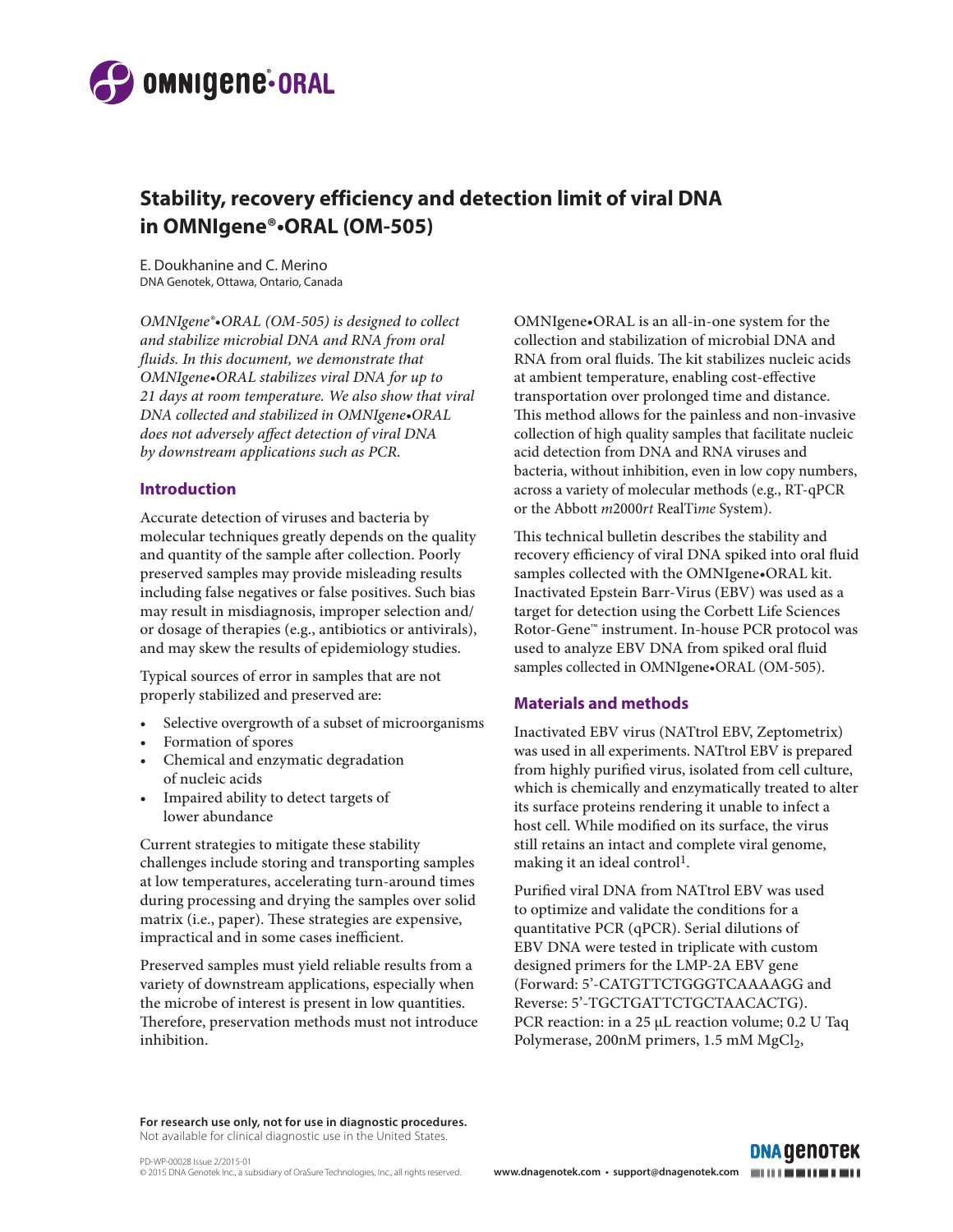

# **Stability, recovery efficiency and detection limit of viral DNA in OMNIgene®•ORAL (OM-505)**

E. Doukhanine and C. Merino DNA Genotek, Ottawa, Ontario, Canada

*OMNIgene®•ORAL (OM-505) is designed to collect and stabilize microbial DNA and RNA from oral fluids. In this document, we demonstrate that OMNIgene•ORAL stabilizes viral DNA for up to 21 days at room temperature. We also show that viral DNA collected and stabilized in OMNIgene•ORAL does not adversely affect detection of viral DNA by downstream applications such as PCR.* 

#### **Introduction**

Accurate detection of viruses and bacteria by molecular techniques greatly depends on the quality and quantity of the sample after collection. Poorly preserved samples may provide misleading results including false negatives or false positives. Such bias may result in misdiagnosis, improper selection and/ or dosage of therapies (e.g., antibiotics or antivirals), and may skew the results of epidemiology studies.

Typical sources of error in samples that are not properly stabilized and preserved are:

- Selective overgrowth of a subset of microorganisms
- Formation of spores
- Chemical and enzymatic degradation of nucleic acids
- Impaired ability to detect targets of lower abundance

Current strategies to mitigate these stability challenges include storing and transporting samples at low temperatures, accelerating turn-around times during processing and drying the samples over solid matrix (i.e., paper). These strategies are expensive, impractical and in some cases inefficient.

Preserved samples must yield reliable results from a variety of downstream applications, especially when the microbe of interest is present in low quantities. Therefore, preservation methods must not introduce inhibition.

OMNIgene•ORAL is an all-in-one system for the collection and stabilization of microbial DNA and RNA from oral fluids. The kit stabilizes nucleic acids at ambient temperature, enabling cost-effective transportation over prolonged time and distance. This method allows for the painless and non-invasive collection of high quality samples that facilitate nucleic acid detection from DNA and RNA viruses and bacteria, without inhibition, even in low copy numbers, across a variety of molecular methods (e.g., RT-qPCR or the Abbott *m*2000*rt* RealTi*me* System).

This technical bulletin describes the stability and recovery efficiency of viral DNA spiked into oral fluid samples collected with the OMNIgene•ORAL kit. Inactivated Epstein Barr-Virus (EBV) was used as a target for detection using the Corbett Life Sciences Rotor-Gene™ instrument. In-house PCR protocol was used to analyze EBV DNA from spiked oral fluid samples collected in OMNIgene•ORAL (OM-505).

### **Materials and methods**

Inactivated EBV virus (NATtrol EBV, Zeptometrix) was used in all experiments. NATtrol EBV is prepared from highly purified virus, isolated from cell culture, which is chemically and enzymatically treated to alter its surface proteins rendering it unable to infect a host cell. While modified on its surface, the virus still retains an intact and complete viral genome, making it an ideal control<sup>1</sup>.

Purified viral DNA from NATtrol EBV was used to optimize and validate the conditions for a quantitative PCR (qPCR). Serial dilutions of EBV DNA were tested in triplicate with custom designed primers for the LMP-2A EBV gene (Forward: 5'-CATGTTCTGGGTCAAAAGG and Reverse: 5'-TGCTGATTCTGCTAACACTG). PCR reaction: in a 25 μL reaction volume; 0.2 U Taq Polymerase, 200nM primers, 1.5 mM MgCl<sub>2</sub>,

**For research use only, not for use in diagnostic procedures.**  Not available for clinical diagnostic use in the United States.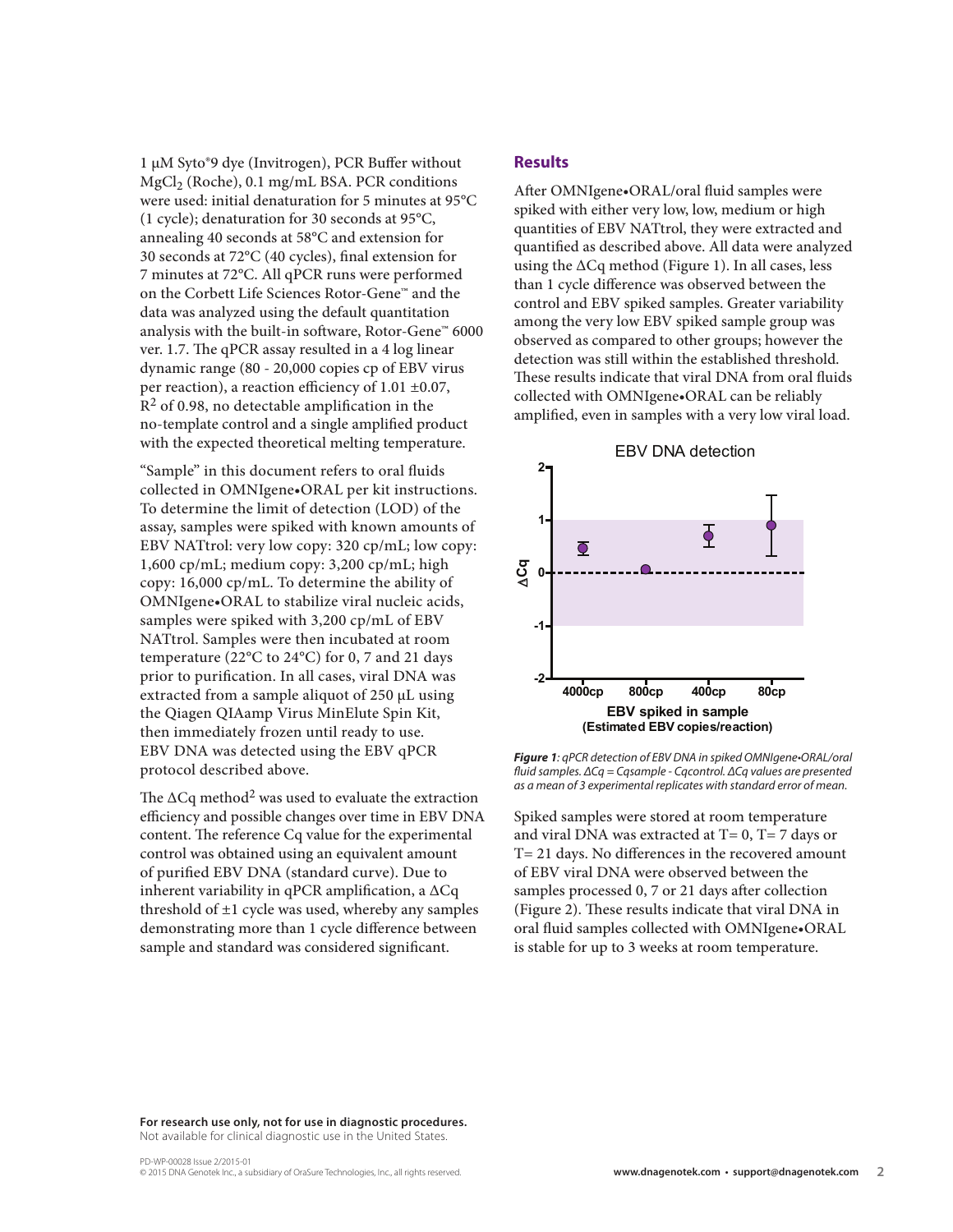1 μM Syto®9 dye (Invitrogen), PCR Buffer without MgCl<sub>2</sub> (Roche), 0.1 mg/mL BSA. PCR conditions were used: initial denaturation for 5 minutes at 95°C (1 cycle); denaturation for 30 seconds at 95°C, annealing 40 seconds at 58°C and extension for 30 seconds at 72°C (40 cycles), final extension for 7 minutes at 72°C. All qPCR runs were performed on the Corbett Life Sciences Rotor-Gene™ and the data was analyzed using the default quantitation analysis with the built-in software, Rotor-Gene™ 6000 ver. 1.7. The qPCR assay resulted in a 4 log linear dynamic range (80 - 20,000 copies cp of EBV virus per reaction), a reaction efficiency of 1.01 ±0.07,  $R<sup>2</sup>$  of 0.98, no detectable amplification in the no-template control and a single amplified product with the expected theoretical melting temperature.

"Sample" in this document refers to oral fluids collected in OMNIgene•ORAL per kit instructions. To determine the limit of detection (LOD) of the assay, samples were spiked with known amounts of EBV NATtrol: very low copy: 320 cp/mL; low copy: 1,600 cp/mL; medium copy: 3,200 cp/mL; high copy: 16,000 cp/mL. To determine the ability of OMNIgene•ORAL to stabilize viral nucleic acids, samples were spiked with 3,200 cp/mL of EBV NATtrol. Samples were then incubated at room temperature (22°C to 24°C) for 0, 7 and 21 days prior to purification. In all cases, viral DNA was extracted from a sample aliquot of 250 µL using the Qiagen QIAamp Virus MinElute Spin Kit, then immediately frozen until ready to use. EBV DNA was detected using the EBV qPCR protocol described above.

The  $\Delta Cq$  method<sup>2</sup> was used to evaluate the extraction efficiency and possible changes over time in EBV DNA content. The reference Cq value for the experimental control was obtained using an equivalent amount of purified EBV DNA (standard curve). Due to inherent variability in qPCR amplification, a  $\Delta Cq$ threshold of  $\pm 1$  cycle was used, whereby any samples demonstrating more than 1 cycle difference between sample and standard was considered significant.

#### **Results**

After OMNIgene•ORAL/oral fluid samples were spiked with either very low, low, medium or high quantities of EBV NATtrol, they were extracted and quantified as described above. All data were analyzed using the ΔCq method (Figure 1). In all cases, less than 1 cycle difference was observed between the control and EBV spiked samples. Greater variability among the very low EBV spiked sample group was observed as compared to other groups; however the detection was still within the established threshold. These results indicate that viral DNA from oral fluids collected with OMNIgene•ORAL can be reliably amplified, even in samples with a very low viral load.



*Figure 1: qPCR detection of EBV DNA in spiked OMNIgene•ORAL/oral fluid samples. ΔCq = Cqsample - Cqcontrol. ΔCq values are presented as a mean of 3 experimental replicates with standard error of mean.* 

Spiked samples were stored at room temperature and viral DNA was extracted at  $T= 0$ ,  $T= 7$  days or T= 21 days. No differences in the recovered amount of EBV viral DNA were observed between the samples processed 0, 7 or 21 days after collection (Figure 2). These results indicate that viral DNA in oral fluid samples collected with OMNIgene•ORAL is stable for up to 3 weeks at room temperature.

**For research use only, not for use in diagnostic procedures.**  Not available for clinical diagnostic use in the United States.